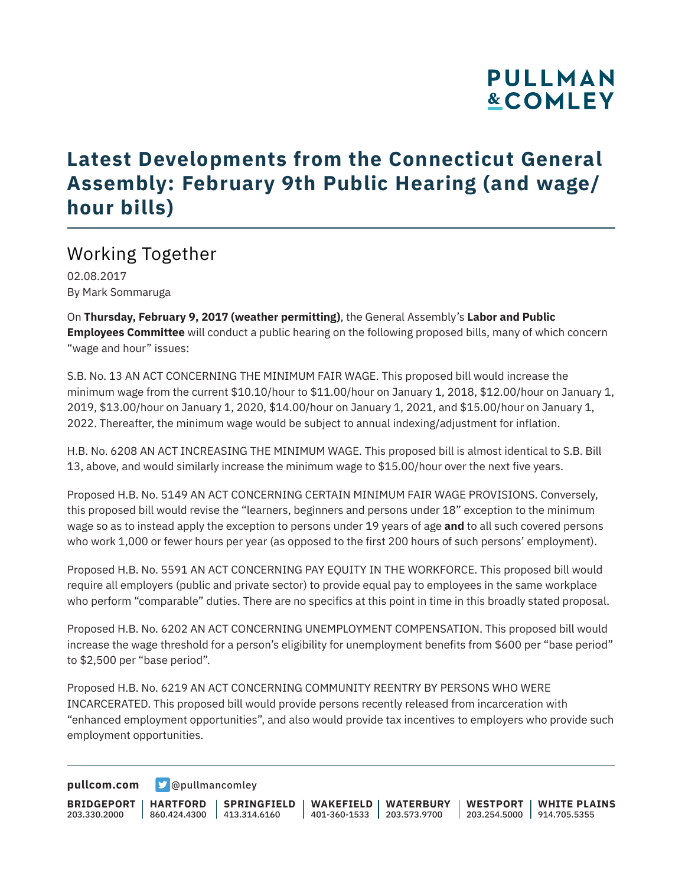# **PULLMAN &COMLEY**

### **Latest Developments from the Connecticut General Assembly: February 9th Public Hearing (and wage/ hour bills)**

### Working Together

02.08.2017 By Mark Sommaruga

On **Thursday, February 9, 2017 (weather permitting)**, the General Assembly's **Labor and Public Employees Committee** will conduct a public hearing on the following proposed bills, many of which concern "wage and hour" issues:

S.B. No. 13 AN ACT CONCERNING THE MINIMUM FAIR WAGE. This proposed bill would increase the minimum wage from the current \$10.10/hour to \$11.00/hour on January 1, 2018, \$12.00/hour on January 1, 2019, \$13.00/hour on January 1, 2020, \$14.00/hour on January 1, 2021, and \$15.00/hour on January 1, 2022. Thereafter, the minimum wage would be subject to annual indexing/adjustment for inflation.

H.B. No. 6208 AN ACT INCREASING THE MINIMUM WAGE. This proposed bill is almost identical to S.B. Bill 13, above, and would similarly increase the minimum wage to \$15.00/hour over the next five years.

Proposed H.B. No. 5149 AN ACT CONCERNING CERTAIN MINIMUM FAIR WAGE PROVISIONS. Conversely, this proposed bill would revise the "learners, beginners and persons under 18" exception to the minimum wage so as to instead apply the exception to persons under 19 years of age **and** to all such covered persons who work 1,000 or fewer hours per year (as opposed to the first 200 hours of such persons' employment).

Proposed H.B. No. 5591 AN ACT CONCERNING PAY EQUITY IN THE WORKFORCE. This proposed bill would require all employers (public and private sector) to provide equal pay to employees in the same workplace who perform "comparable" duties. There are no specifics at this point in time in this broadly stated proposal.

Proposed H.B. No. 6202 AN ACT CONCERNING UNEMPLOYMENT COMPENSATION. This proposed bill would increase the wage threshold for a person's eligibility for unemployment benefits from \$600 per "base period" to \$2,500 per "base period".

Proposed H.B. No. 6219 AN ACT CONCERNING COMMUNITY REENTRY BY PERSONS WHO WERE INCARCERATED. This proposed bill would provide persons recently released from incarceration with "enhanced employment opportunities", and also would provide tax incentives to employers who provide such employment opportunities.

**[pullcom.com](https://www.pullcom.com) g** [@pullmancomley](https://twitter.com/PullmanComley)

**BRIDGEPORT** 203.330.2000 **HARTFORD** 860.424.4300 413.314.6160 **SPRINGFIELD WAKEFIELD WATERBURY** 401-360-1533 203.573.9700 **WESTPORT WHITE PLAINS** 203.254.5000 914.705.5355